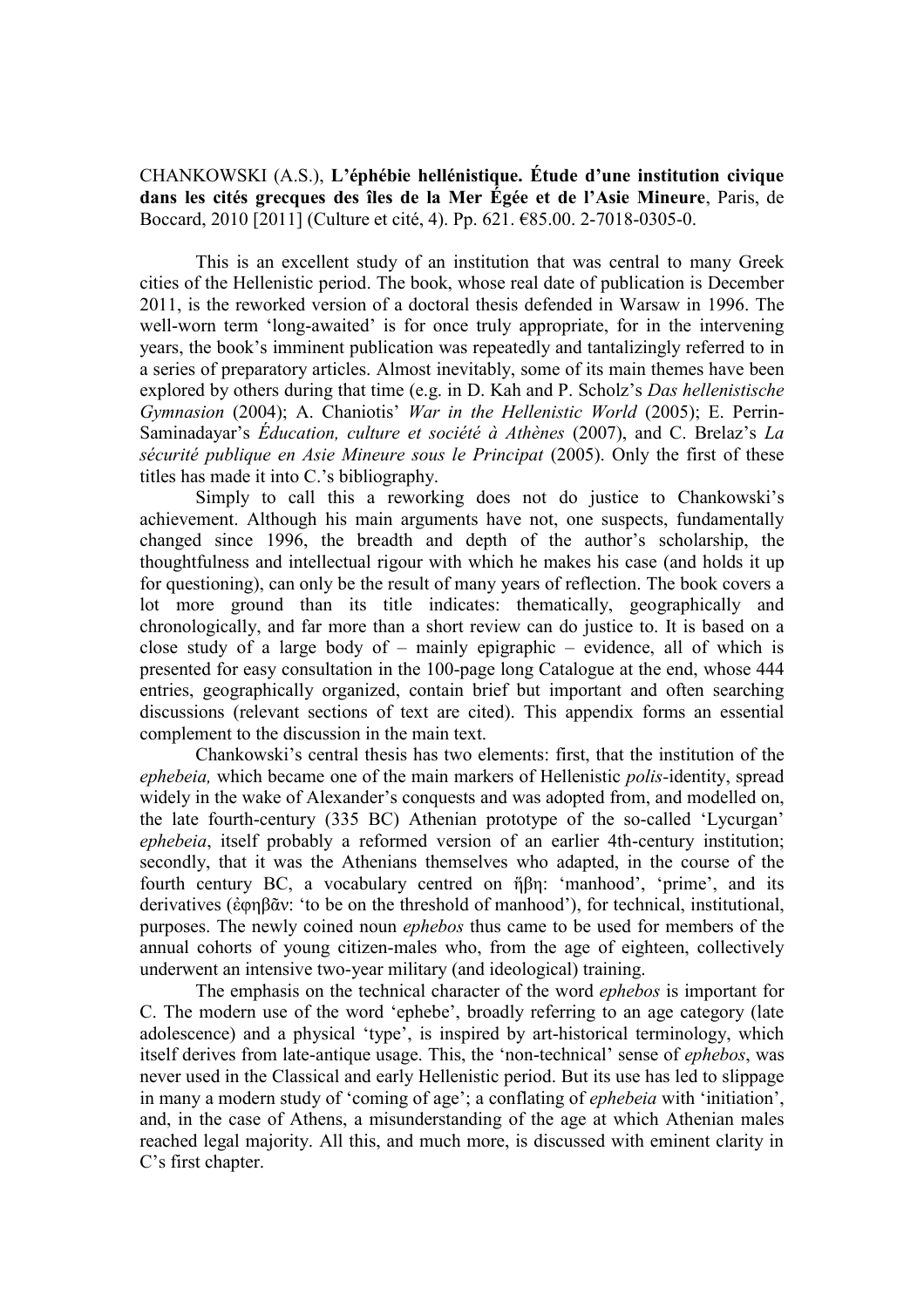CHANKOWSKI (A.S.), **L'éphébie hellénistique. Étude d'une institution civique dans les cités grecques des îles de la Mer Égée et de l'Asie Mineure**, Paris, de Boccard, 2010 [2011] (Culture et cité, 4). Pp. 621. €85.00. 2-7018-0305-0.

This is an excellent study of an institution that was central to many Greek cities of the Hellenistic period. The book, whose real date of publication is December 2011, is the reworked version of a doctoral thesis defended in Warsaw in 1996. The well-worn term 'long-awaited' is for once truly appropriate, for in the intervening years, the book's imminent publication was repeatedly and tantalizingly referred to in a series of preparatory articles. Almost inevitably, some of its main themes have been explored by others during that time (e.g. in D. Kah and P. Scholz's *Das hellenistische Gymnasion* (2004); A. Chaniotis' *War in the Hellenistic World* (2005); E. Perrin-Saminadayar's *Éducation, culture et société à Athènes* (2007), and C. Brelaz's *La sécurité publique en Asie Mineure sous le Principat* (2005). Only the first of these titles has made it into C.'s bibliography.

Simply to call this a reworking does not do justice to Chankowski's achievement. Although his main arguments have not, one suspects, fundamentally changed since 1996, the breadth and depth of the author's scholarship, the thoughtfulness and intellectual rigour with which he makes his case (and holds it up for questioning), can only be the result of many years of reflection. The book covers a lot more ground than its title indicates: thematically, geographically and chronologically, and far more than a short review can do justice to. It is based on a close study of a large body of – mainly epigraphic – evidence, all of which is presented for easy consultation in the 100-page long Catalogue at the end, whose 444 entries, geographically organized, contain brief but important and often searching discussions (relevant sections of text are cited). This appendix forms an essential complement to the discussion in the main text.

Chankowski's central thesis has two elements: first, that the institution of the *ephebeia,* which became one of the main markers of Hellenistic *polis-*identity, spread widely in the wake of Alexander's conquests and was adopted from, and modelled on, the late fourth-century (335 BC) Athenian prototype of the so-called 'Lycurgan' *ephebeia*, itself probably a reformed version of an earlier 4th-century institution; secondly, that it was the Athenians themselves who adapted, in the course of the fourth century BC, a vocabulary centred on ἥβη: 'manhood', 'prime', and its derivatives (ἐφηβᾶν: 'to be on the threshold of manhood'), for technical, institutional, purposes. The newly coined noun *ephebos* thus came to be used for members of the annual cohorts of young citizen-males who, from the age of eighteen, collectively underwent an intensive two-year military (and ideological) training.

The emphasis on the technical character of the word *ephebos* is important for C. The modern use of the word 'ephebe', broadly referring to an age category (late adolescence) and a physical 'type', is inspired by art-historical terminology, which itself derives from late-antique usage. This, the 'non-technical' sense of *ephebos*, was never used in the Classical and early Hellenistic period. But its use has led to slippage in many a modern study of 'coming of age'; a conflating of *ephebeia* with 'initiation', and, in the case of Athens, a misunderstanding of the age at which Athenian males reached legal majority. All this, and much more, is discussed with eminent clarity in C's first chapter.